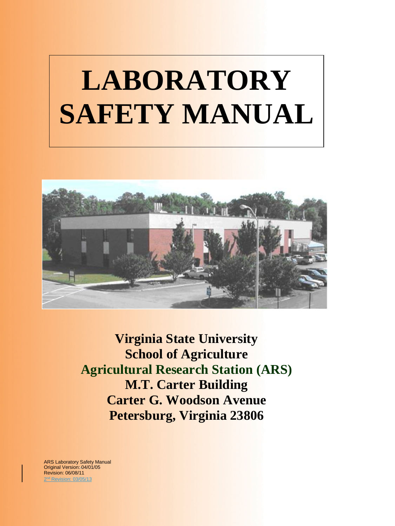# **SAFETY MANUAL LABORATORY**



**Virginia State University School of Agriculture Agricultural Research Station (ARS) M.T. Carter Building Carter G. Woodson Avenue Petersburg, Virginia 23806**

ARS Laboratory Safety Manual Original Version: 04/01/05 Revision: 06/08/11 2<sup>nd</sup> Revision: 03/05/13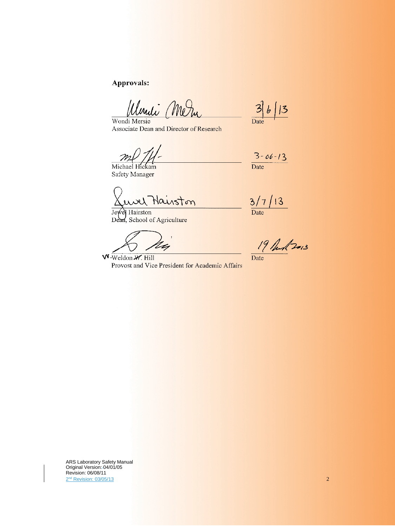Approvals:

Ulardi Me Wondi Mersie

 $36/13$ Date

Associate Dean and Director of Research

Michael Hickam

Safety Manager

 $\frac{3 - 06 - 13}{\text{Date}}$ 

tm

Jewell Hairston<br>Dean, School of Agriculture

 $\boldsymbol{\mathscr{L}}$ 

 $\frac{3/7/13}{\text{Date}}$ 

 $\frac{19 \text{ h} \cdot \text{m}}{2000}$ 

W. Weldon W. Hill Provost and Vice President for Academic Affairs

ARS Laboratory Safety Manual<br>Original Version: 04/01/05 Revision: 06/08/11 2<sup>nd</sup> Revision: 03/05/13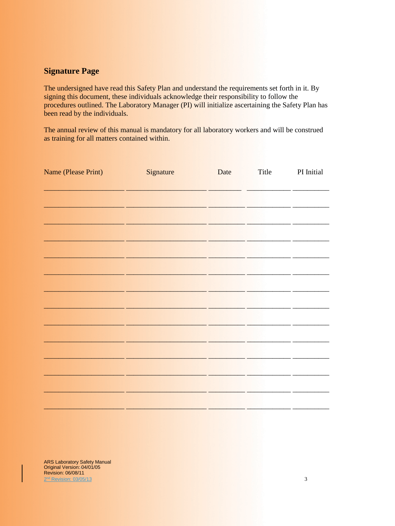## **Signature Page**

<span id="page-2-0"></span>The undersigned have read this Safety Plan and understand the requirements set forth in it. By signing this document, these individuals acknowledge their responsibility to follow the procedures outlined. The Laboratory Manager (PI) will initialize ascertaining the Safety Plan has been read by the individuals.

The annual review of this manual is mandatory for all laboratory workers and will be construed as training for all matters contained within.

| Name (Please Print) | Signature                                                                                                                                                                                                                            | Date | Title | PI Initial |
|---------------------|--------------------------------------------------------------------------------------------------------------------------------------------------------------------------------------------------------------------------------------|------|-------|------------|
|                     |                                                                                                                                                                                                                                      |      |       |            |
|                     | <u>The contract of the contract of the contract of the contract of the contract of the contract of the contract of the contract of the contract of the contract of the contract of the contract of the contract of the contract </u> |      |       |            |
|                     |                                                                                                                                                                                                                                      |      |       |            |
|                     |                                                                                                                                                                                                                                      |      |       |            |
|                     |                                                                                                                                                                                                                                      |      |       |            |
|                     |                                                                                                                                                                                                                                      | - -  |       |            |
|                     | <u> 1919 - An Aonaichte ann an Aonaich</u>                                                                                                                                                                                           |      |       |            |
|                     |                                                                                                                                                                                                                                      |      |       |            |
|                     |                                                                                                                                                                                                                                      |      |       |            |
|                     |                                                                                                                                                                                                                                      |      |       |            |
|                     | - -                                                                                                                                                                                                                                  |      |       |            |
|                     |                                                                                                                                                                                                                                      |      |       |            |
|                     |                                                                                                                                                                                                                                      |      |       |            |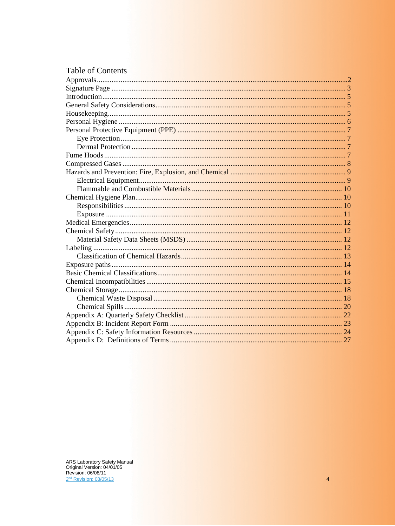|  |  |  | <b>Table of Contents</b> |
|--|--|--|--------------------------|
|--|--|--|--------------------------|

ARS Laboratory Safety Manual<br>Original Version: 04/01/05<br>Revision: 06/08/11 2<sup>nd</sup> Revision: 03/05/13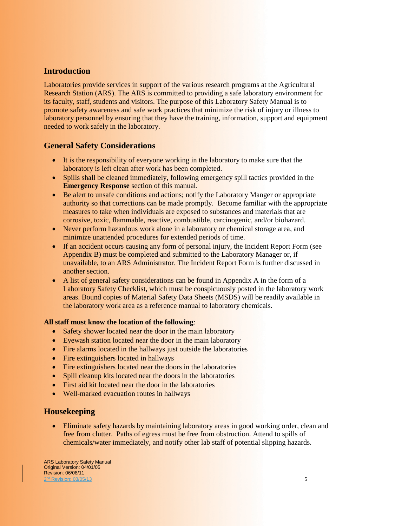## **Introduction**

<span id="page-4-0"></span>Laboratories provide services in support of the various research programs at the Agricultural Research Station (ARS). The ARS is committed to providing a safe laboratory environment for its faculty, staff, students and visitors. The purpose of this Laboratory Safety Manual is to promote safety awareness and safe work practices that minimize the risk of injury or illness to laboratory personnel by ensuring that they have the training, information, support and equipment needed to work safely in the laboratory.

## **General Safety Considerations**

- <span id="page-4-1"></span>• It is the responsibility of everyone working in the laboratory to make sure that the laboratory is left clean after work has been completed.
- Spills shall be cleaned immediately, following emergency spill tactics provided in the **[Emergency Response](http://www.pp.okstate.edu/ehs/HAZMAT/LABMAN/chap1.htm)** section of this manual.
- Be alert to unsafe conditions and actions; notify the Laboratory Manger or appropriate authority so that corrections can be made promptly. Become familiar with the appropriate measures to take when individuals are exposed to substances and materials that are corrosive, toxic, flammable, reactive, combustible, carcinogenic, and/or biohazard.
- Never perform hazardous work alone in a laboratory or chemical storage area, and minimize unattended procedures for extended periods of time.
- If an accident occurs causing any form of personal injury, the Incident Report Form (see Appendix B) must be completed and submitted to the Laboratory Manager or, if unavailable, to an ARS Administrator. The Incident Report Form is further discussed in another section.
- A list of general safety considerations can be found in Appendix A in the form of a Laboratory Safety Checklist, which must be conspicuously posted in the laboratory work areas. Bound copies of Material Safety Data Sheets (MSDS) will be readily available in the laboratory work area as a reference manual to laboratory chemicals.

#### **All staff must know the location of the following**:

- Safety shower located near the door in the main laboratory
- Eyewash station located near the door in the main laboratory
- Fire alarms located in the hallways just outside the laboratories
- Fire extinguishers located in hallways
- Fire extinguishers located near the doors in the laboratories
- Spill cleanup kits located near the doors in the laboratories
- First aid kit located near the door in the laboratories
- Well-marked evacuation routes in hallways

## **Housekeeping**

<span id="page-4-2"></span> Eliminate safety hazards by maintaining laboratory areas in good working order, clean and free from clutter. Paths of egress must be free from obstruction. Attend to spills of chemicals/water immediately, and notify other lab staff of potential slipping hazards.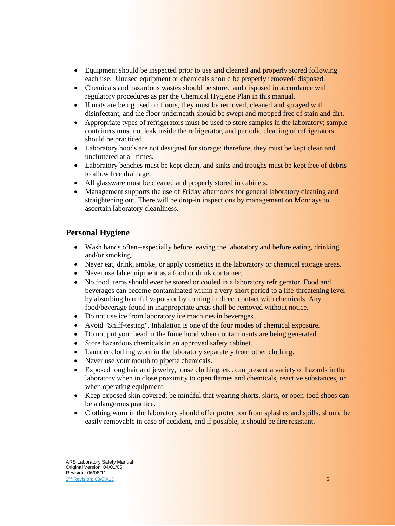- Equipment should be inspected prior to use and cleaned and properly stored following each use. Unused equipment or chemicals should be properly removed/ disposed.
- Chemicals and hazardous wastes should be stored and disposed in accordance with regulatory procedures as per the Chemical Hygiene Plan in this manual.
- If mats are being used on floors, they must be removed, cleaned and sprayed with disinfectant, and the floor underneath should be swept and mopped free of stain and dirt.
- Appropriate types of refrigerators must be used to store samples in the laboratory; sample containers must not leak inside the refrigerator, and periodic cleaning of refrigerators should be practiced.
- Laboratory hoods are not designed for storage; therefore, they must be kept clean and uncluttered at all times.
- Laboratory benches must be kept clean, and sinks and troughs must be kept free of debris to allow free drainage.
- All glassware must be cleaned and properly stored in cabinets.
- Management supports the use of Friday afternoons for general laboratory cleaning and straightening out. There will be drop-in inspections by management on Mondays to ascertain laboratory cleanliness.

## <span id="page-5-0"></span>**Personal Hygiene**

- Wash hands often--especially before leaving the laboratory and before eating, drinking and/or smoking.
- Never eat, drink, smoke, or apply cosmetics in the laboratory or chemical storage areas.
- Never use lab equipment as a food or drink container.
- No food items should ever be stored or cooled in a laboratory refrigerator. Food and beverages can become contaminated within a very short period to a life-threatening level by absorbing harmful vapors or by coming in direct contact with chemicals. Any food/beverage found in inappropriate areas shall be removed without notice.
- Do not use ice from laboratory ice machines in beverages.
- Avoid "Sniff-testing". Inhalation is one of the four modes of chemical exposure.
- Do not put your head in the fume hood when contaminants are being generated.
- Store hazardous chemicals in an approved safety cabinet.
- Launder clothing worn in the laboratory separately from other clothing.
- Never use your mouth to pipette chemicals.
- Exposed long hair and jewelry, loose clothing, etc. can present a variety of hazards in the laboratory when in close proximity to open flames and chemicals, reactive substances, or when operating equipment.
- Keep exposed skin covered; be mindful that wearing shorts, skirts, or open-toed shoes can be a dangerous practice.
- Clothing worn in the laboratory should offer protection from splashes and spills, should be easily removable in case of accident, and if possible, it should be fire resistant.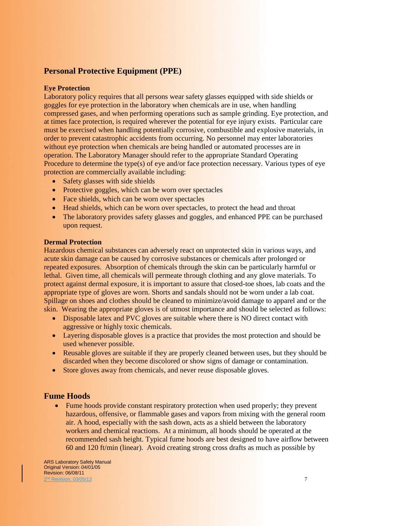## **Personal Protective Equipment (PPE)**

#### **Eye Protection**

Laboratory policy requires that all persons wear safety glasses equipped with side shields or goggles for eye protection in the laboratory when chemicals are in use, when handling compressed gases, and when performing operations such as sample grinding. Eye protection, and at times face protection, is required wherever the potential for eye injury exists. Particular care must be exercised when handling potentially corrosive, combustible and explosive materials, in order to prevent catastrophic accidents from occurring. No personnel may enter laboratories without eye protection when chemicals are being handled or automated processes are in operation. The Laboratory Manager should refer to the appropriate Standard Operating Procedure to determine the type(s) of eye and/or face protection necessary. Various types of eye protection are commercially available including:

- Safety glasses with side shields
- Protective goggles, which can be worn over spectacles
- Face shields, which can be worn over spectacles
- Head shields, which can be worn over spectacles, to protect the head and throat
- The laboratory provides safety glasses and goggles, and enhanced PPE can be purchased upon request.

#### **Dermal Protection**

<span id="page-6-0"></span>Hazardous chemical substances can adversely react on unprotected skin in various ways, and acute skin damage can be caused by corrosive substances or chemicals after prolonged or repeated exposures. Absorption of chemicals through the skin can be particularly harmful or lethal. Given time, all chemicals will permeate through clothing and any glove materials. To protect against dermal exposure, it is important to assure that closed-toe shoes, lab coats and the appropriate type of gloves are worn. Shorts and sandals should not be worn under a lab coat. Spillage on shoes and clothes should be cleaned to minimize/avoid damage to apparel and or the skin. Wearing the appropriate gloves is of utmost importance and should be selected as follows:

- Disposable latex and PVC gloves are suitable where there is NO direct contact with aggressive or highly toxic chemicals.
- Layering disposable gloves is a practice that provides the most protection and should be used whenever possible.
- Reusable gloves are suitable if they are properly cleaned between uses, but they should be discarded when they become discolored or show signs of damage or contamination.
- Store gloves away from chemicals, and never reuse disposable gloves.

#### **Fume Hoods**

<span id="page-6-1"></span>• Fume hoods provide constant respiratory protection when used properly; they prevent hazardous, offensive, or flammable gases and vapors from mixing with the general room air. A hood, especially with the sash down, acts as a shield between the laboratory workers and chemical reactions. At a minimum, all hoods should be operated at the recommended sash height. Typical fume hoods are best designed to have airflow between 60 and 120 ft/min (linear). Avoid creating strong cross drafts as much as possible by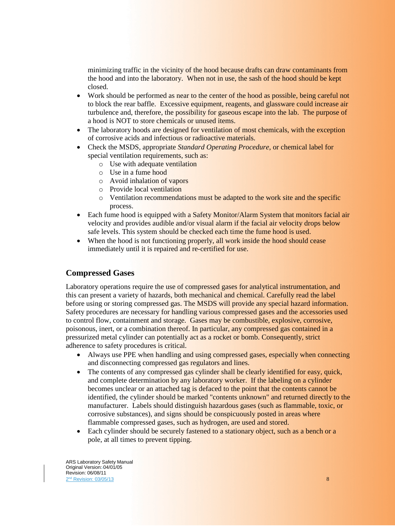minimizing traffic in the vicinity of the hood because drafts can draw contaminants from the hood and into the laboratory. When not in use, the sash of the hood should be kept closed.

- Work should be performed as near to the center of the hood as possible, being careful not to block the rear baffle. Excessive equipment, reagents, and glassware could increase air turbulence and, therefore, the possibility for gaseous escape into the lab. The purpose of a hood is NOT to store chemicals or unused items.
- The laboratory hoods are designed for ventilation of most chemicals, with the exception of corrosive acids and infectious or radioactive materials.
- Check the MSDS, appropriate *Standard Operating Procedure*, or chemical label for special ventilation requirements, such as:
	- o Use with adequate ventilation
	- o Use in a fume hood
	- o Avoid inhalation of vapors
	- o Provide local ventilation
	- o Ventilation recommendations must be adapted to the work site and the specific process.
- Each fume hood is equipped with a Safety Monitor/Alarm System that monitors facial air velocity and provides audible and/or visual alarm if the facial air velocity drops below safe levels. This system should be checked each time the fume hood is used.
- When the hood is not functioning properly, all work inside the hood should cease immediately until it is repaired and re-certified for use.

## **Compressed Gases**

<span id="page-7-0"></span>Laboratory operations require the use of compressed gases for analytical instrumentation, and this can present a variety of hazards, both mechanical and chemical. Carefully read the label before using or storing compressed gas. The MSDS will provide any special hazard information. Safety procedures are necessary for handling various compressed gases and the accessories used to control flow, containment and storage. Gases may be combustible, explosive, corrosive, poisonous, inert, or a combination thereof. In particular, any compressed gas contained in a pressurized metal cylinder can potentially act as a rocket or bomb. Consequently, strict adherence to safety procedures is critical.

- Always use PPE when handling and using compressed gases, especially when connecting and disconnecting compressed gas regulators and lines.
- The contents of any compressed gas cylinder shall be clearly identified for easy, quick, and complete determination by any laboratory worker. If the labeling on a cylinder becomes unclear or an attached tag is defaced to the point that the contents cannot be identified, the cylinder should be marked "contents unknown" and returned directly to the manufacturer. Labels should distinguish hazardous gases (such as flammable, toxic, or corrosive substances), and signs should be conspicuously posted in areas where flammable compressed gases, such as hydrogen, are used and stored.
- Each cylinder should be securely fastened to a stationary object, such as a bench or a pole, at all times to prevent tipping.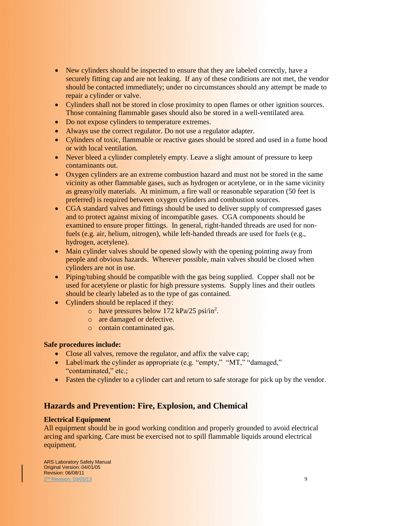- New cylinders should be inspected to ensure that they are labeled correctly, have a securely fitting cap and are not leaking. If any of these conditions are not met, the vendor should be contacted immediately; under no circumstances should any attempt be made to repair a cylinder or valve.
- Cylinders shall not be stored in close proximity to open flames or other ignition sources. Those containing flammable gases should also be stored in a well-ventilated area.
- Do not expose cylinders to temperature extremes.
- Always use the correct regulator. Do not use a regulator adapter.
- Cylinders of toxic, flammable or reactive gases should be stored and used in a fume hood or with local ventilation.
- Never bleed a cylinder completely empty. Leave a slight amount of pressure to keep contaminants out.
- Oxygen cylinders are an extreme combustion hazard and must not be stored in the same vicinity as other flammable gases, such as hydrogen or acetylene, or in the same vicinity as greasy/oily materials. At minimum, a fire wall or reasonable separation (50 feet is preferred) is required between oxygen cylinders and combustion sources.
- CGA standard valves and fittings should be used to deliver supply of compressed gases and to protect against mixing of incompatible gases. CGA components should be examined to ensure proper fittings. In general, right-handed threads are used for nonfuels (e.g. air, helium, nitrogen), while left-handed threads are used for fuels (e.g., hydrogen, acetylene).
- Main cylinder valves should be opened slowly with the opening pointing away from people and obvious hazards. Wherever possible, main valves should be closed when cylinders are not in use.
- Piping/tubing should be compatible with the gas being supplied. Copper shall not be used for acetylene or plastic for high pressure systems. Supply lines and their outlets should be clearly labeled as to the type of gas contained.
- Cylinders should be replaced if they:
	- o have pressures below  $172 \text{ kPa}/25 \text{ psi/in}^2$ .
	- o are damaged or defective.
	- o contain contaminated gas.

#### **Safe procedures include:**

- Close all valves, remove the regulator, and affix the valve cap;
- Label/mark the cylinder as appropriate (e.g. "empty," "MT," "damaged," "contaminated," etc.;
- Fasten the cylinder to a cylinder cart and return to safe storage for pick up by the vendor.

## **Hazards and Prevention: Fire, Explosion, and Chemical**

## **Electrical Equipment**

<span id="page-8-1"></span><span id="page-8-0"></span>All equipment should be in good working condition and properly grounded to avoid electrical arcing and sparking. Care must be exercised not to spill flammable liquids around electrical equipment.

ARS Laboratory Safety Manual Original Version: 04/01/05 Revision: 06/08/11 و المساوي التي يتم التي تقدم المساوي التي يتم التي تقدم التي يتم التي تقدم التي يتم التي يتم التي يتم التي يتم<br>والتي يتم التي يتم التي يتم التي يتم التي يتم التي يتم التي يتم التي يتم التي يتم التي يتم التي يتم التي يتم ا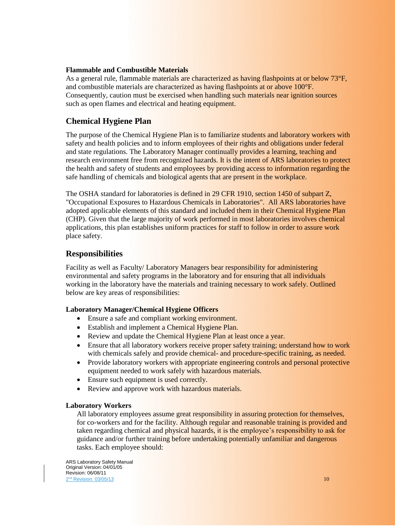#### **Flammable and Combustible Materials**

<span id="page-9-0"></span>As a general rule, flammable materials are characterized as having flashpoints at or below 73°F, and combustible materials are characterized as having flashpoints at or above 100°F. Consequently, caution must be exercised when handling such materials near ignition sources such as open flames and electrical and heating equipment.

#### **Chemical Hygiene Plan**

<span id="page-9-1"></span>The purpose of the Chemical Hygiene Plan is to familiarize students and laboratory workers with safety and health policies and to inform employees of their rights and obligations under federal and state regulations. The Laboratory Manager continually provides a learning, teaching and research environment free from recognized hazards. It is the intent of ARS laboratories to protect the health and safety of students and employees by providing access to information regarding the safe handling of chemicals and biological agents that are present in the workplace.

The OSHA standard for laboratories is defined in 29 CFR 1910, section 1450 of subpart Z, "Occupational Exposures to Hazardous Chemicals in Laboratories". All ARS laboratories have adopted applicable elements of this standard and included them in their Chemical Hygiene Plan (CHP). Given that the large majority of work performed in most laboratories involves chemical applications, this plan establishes uniform practices for staff to follow in order to assure work place safety.

#### **Responsibilities**

<span id="page-9-2"></span>Facility as well as Faculty/ Laboratory Managers bear responsibility for administering environmental and safety programs in the laboratory and for ensuring that all individuals working in the laboratory have the materials and training necessary to work safely. Outlined below are key areas of responsibilities:

#### **Laboratory Manager/Chemical Hygiene Officers**

- Ensure a safe and compliant working environment.
- **•** Establish and implement a Chemical Hygiene Plan.
- Review and update the Chemical Hygiene Plan at least once a year.
- Ensure that all laboratory workers receive [proper safety training;](http://webware.princeton.edu/sites/ehs/Training/index.htm) understand how to work with chemicals safely and provide chemical- and procedure-specific training, as needed.
- Provide laboratory workers with appropriate [engineering controls a](http://webware.princeton.edu/sites/ehs/labsafetymanual/sec6a.htm)nd personal protective equipment needed to work safely with hazardous materials.
- Ensure such equipment is used correctly.
- Review and approve work with [hazardous materials.](http://webware.princeton.edu/sites/ehs/labsafetymanual/sec7j.htm)

#### **Laboratory Workers**

All laboratory employees assume great responsibility in assuring protection for themselves, for co-workers and for the facility. Although regular and reasonable training is provided and taken regarding chemical and physical hazards, it is the employee's responsibility to ask for guidance and/or further training before undertaking potentially unfamiliar and dangerous tasks. Each employee should: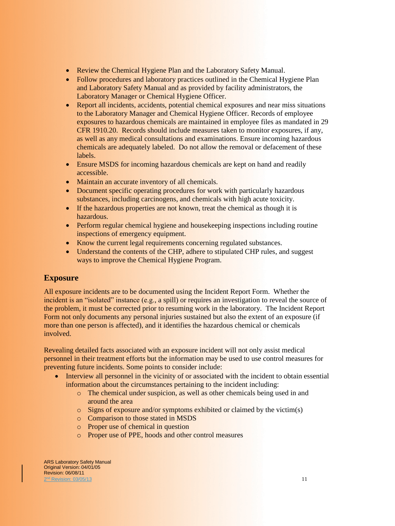- Review the [Chemical Hygiene Plan](http://webware.princeton.edu/sites/ehs/LabPage/CHP.htm) and the [Laboratory Safety Manual.](http://webware.princeton.edu/sites/ehs/labsafetymanual/TOC.htm)
- Follow procedures and laboratory practices outlined in the Chemical Hygiene Plan and Laboratory Safety Manual and as provided by facility administrators, the Laboratory Manager or [Chemical Hygiene Officer.](http://webware.princeton.edu/sites/ehs/LabPage/CHO.htm)
- Report all incidents, accidents, potential chemical exposures and near miss situations to the Laboratory Manager and [Chemical Hygiene Officer.](http://webware.princeton.edu/sites/ehs/LabPage/CHO.htm) Records of employee exposures to hazardous chemicals are maintained in employee files as mandated in 29 CFR 1910.20. Records should include measures taken to monitor exposures, if any, as well as any medical consultations and examinations. Ensure incoming hazardous chemicals are adequately labeled. Do not allow the removal or defacement of these labels.
- Ensure MSDS for incoming hazardous chemicals are kept on hand and readily accessible.
- Maintain an accurate inventory of all chemicals.
- Document specific operating procedures for work with particularly hazardous [substances,](http://webware.princeton.edu/sites/ehs/labsafetymanual/sec7j.htm) including [carcinogens,](http://webware.princeton.edu/sites/ehs/labsafetymanual/appa.htm) and [chemicals with high acute toxicity.](http://webware.princeton.edu/sites/ehs/labsafetymanual/appc.htm)
- If the hazardous properties are not known, treat the chemical as though it is hazardous.
- Perform regular chemical hygiene and house keeping inspections including routine inspections of emergency equipment.
- Know the current legal requirements concerning regulated substances.
- Understand the contents of the CHP, adhere to stipulated CHP rules, and suggest ways to improve the Chemical Hygiene Program.

## **Exposure**

<span id="page-10-0"></span>All exposure incidents are to be documented using the Incident Report Form. Whether the incident is an "isolated" instance (e.g., a spill) or requires an investigation to reveal the source of the problem, it must be corrected prior to resuming work in the laboratory. The Incident Report Form not only documents any personal injuries sustained but also the extent of an exposure (if more than one person is affected), and it identifies the hazardous chemical or chemicals involved.

Revealing detailed facts associated with an exposure incident will not only assist medical personnel in their treatment efforts but the information may be used to use control measures for preventing future incidents. Some points to consider include:

- Interview all personnel in the vicinity of or associated with the incident to obtain essential information about the circumstances pertaining to the incident including:
	- $\circ$  The chemical under suspicion, as well as other chemicals being used in and around the area
	- o Signs of exposure and/or symptoms exhibited or claimed by the victim(s)
	- o Comparison to those stated in MSDS
	- o Proper use of chemical in question
	- o Proper use of PPE, hoods and other control measures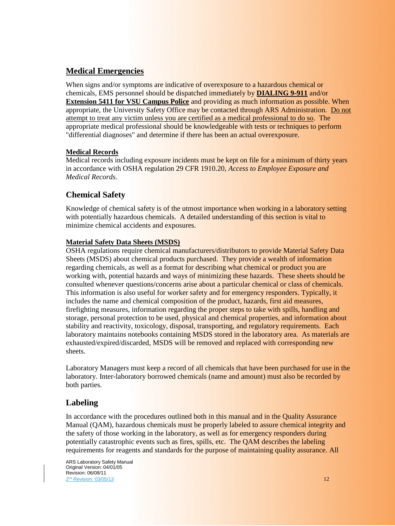## **Medical Emergencies**

When signs and/or symptoms are indicative of overexposure to a hazardous chemical or chemicals, EMS personnel should be dispatched immediately by **DIALING 9-911** and/or **Extension 5411 for VSU Campus Police** and providing as much information as possible. When appropriate, the University Safety Office may be contacted through ARS Administration. Do not attempt to treat any victim unless you are certified as a medical professional to do so. The appropriate medical professional should be knowledgeable with tests or techniques to perform "differential diagnoses" and determine if there has been an actual overexposure.

#### **Medical Records**

Medical records including exposure incidents must be kept on file for a minimum of thirty years in accordance with OSHA regulation 29 CFR 1910.20, *Access to Employee Exposure and Medical Records*.

## **Chemical Safety**

Knowledge of chemical safety is of the utmost importance when working in a laboratory setting with potentially hazardous chemicals. A detailed understanding of this section is vital to minimize chemical accidents and exposures.

### **Material Safety Data Sheets (MSDS)**

OSHA regulations require chemical manufacturers/distributors to provide Material Safety Data Sheets (MSDS) about chemical products purchased. They provide a wealth of information regarding chemicals, as well as a format for describing what chemical or product you are working with, potential hazards and ways of minimizing these hazards. These sheets should be consulted whenever questions/concerns arise about a particular chemical or class of chemicals. This information is also useful for worker safety and for emergency responders. Typically, it includes the name and chemical composition of the product, hazards, first aid measures, firefighting measures, information regarding the proper steps to take with spills, handling and storage, personal protection to be used, physical and chemical properties, and information about stability and reactivity, toxicology, disposal, transporting, and regulatory requirements. Each laboratory maintains notebooks containing MSDS stored in the laboratory area. As materials are exhausted/expired/discarded, MSDS will be removed and replaced with corresponding new sheets.

Laboratory Managers must keep a record of all chemicals that have been purchased for use in the laboratory. Inter-laboratory borrowed chemicals (name and amount) must also be recorded by both parties.

## **Labeling**

In accordance with the procedures outlined both in this manual and in the Quality Assurance Manual (QAM), hazardous chemicals must be properly labeled to assure chemical integrity and the safety of those working in the laboratory, as well as for emergency responders during potentially catastrophic events such as fires, spills, etc. The QAM describes the labeling requirements for reagents and standards for the purpose of maintaining quality assurance. All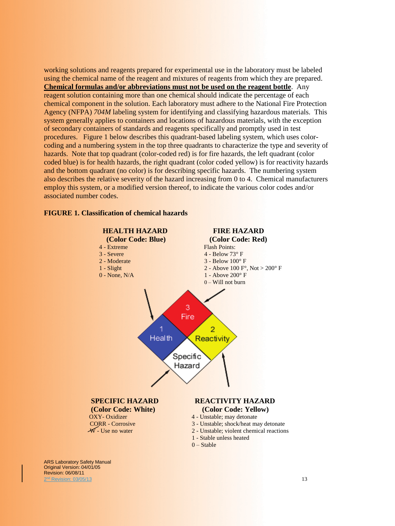working solutions and reagents prepared for experimental use in the laboratory must be labeled using the chemical name of the reagent and mixtures of reagents from which they are prepared. **Chemical formulas and/or abbreviations must not be used on the reagent bottle**. Any reagent solution containing more than one chemical should indicate the percentage of each chemical component in the solution. Each laboratory must adhere to the National Fire Protection Agency (NFPA) *704M* labeling system for identifying and classifying hazardous materials. This system generally applies to containers and locations of hazardous materials, with the exception of secondary containers of standards and reagents specifically and promptly used in test procedures. Figure 1 below describes this quadrant-based labeling system, which uses colorcoding and a numbering system in the top three quadrants to characterize the type and severity of hazards. Note that top quadrant (color-coded red) is for fire hazards, the left quadrant (color coded blue) is for health hazards, the right quadrant (color coded yellow) is for reactivity hazards and the bottom quadrant (no color) is for describing specific hazards. The numbering system also describes the relative severity of the hazard increasing from 0 to 4. Chemical manufacturers employ this system, or a modified version thereof, to indicate the various color codes and/or associated number codes.

#### **FIGURE 1. Classification of chemical hazards**



ARS Laboratory Safety Manual Original Version: 04/01/05 Revision: 06/08/11  $2<sup>nd</sup>$  Revision: 03/05/13 13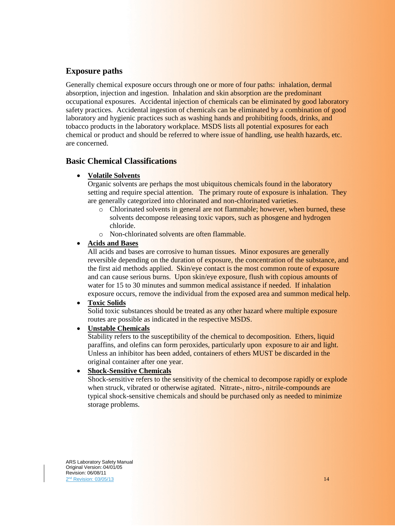## **Exposure paths**

<span id="page-13-0"></span>Generally chemical exposure occurs through one or more of four paths: inhalation, dermal absorption, injection and ingestion. Inhalation and skin absorption are the predominant occupational exposures. Accidental injection of chemicals can be eliminated by good laboratory safety practices. Accidental ingestion of chemicals can be eliminated by a combination of good laboratory and hygienic practices such as washing hands and prohibiting foods, drinks, and tobacco products in the laboratory workplace. MSDS lists all potential exposures for each chemical or product and should be referred to where issue of handling, use health hazards, etc. are concerned.

## <span id="page-13-1"></span>**Basic Chemical Classifications**

#### **Volatile Solvents**

Organic solvents are perhaps the most ubiquitous chemicals found in the laboratory setting and require special attention. The primary route of exposure is inhalation. They are generally categorized into chlorinated and non-chlorinated varieties.

- o Chlorinated solvents in general are not flammable; however, when burned, these solvents decompose releasing toxic vapors, such as phosgene and hydrogen chloride.
- o Non-chlorinated solvents are often flammable.

#### **Acids and Bases**

All acids and bases are corrosive to human tissues. Minor exposures are generally reversible depending on the duration of exposure, the concentration of the substance, and the first aid methods applied. Skin/eye contact is the most common route of exposure and can cause serious burns. Upon skin/eye exposure, flush with copious amounts of water for 15 to 30 minutes and summon medical assistance if needed. If inhalation exposure occurs, remove the individual from the exposed area and summon medical help.

#### **Toxic Solids**

Solid toxic substances should be treated as any other hazard where multiple exposure routes are possible as indicated in the respective MSDS.

**Unstable Chemicals**

Stability refers to the susceptibility of the chemical to decomposition. Ethers, liquid paraffins, and olefins can form peroxides, particularly upon exposure to air and light. Unless an inhibitor has been added, containers of ethers MUST be discarded in the original container after one year.

## **Shock-Sensitive Chemicals**

Shock-sensitive refers to the sensitivity of the chemical to decompose rapidly or explode when struck, vibrated or otherwise agitated. Nitrate-, nitro-, nitrile-compounds are typical shock-sensitive chemicals and should be purchased only as needed to minimize storage problems.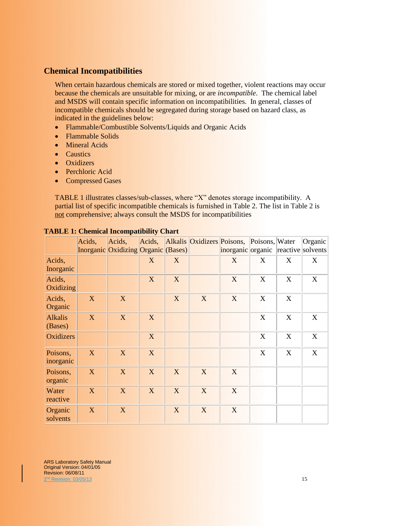## **Chemical Incompatibilities**

<span id="page-14-0"></span>When certain hazardous chemicals are stored or mixed together, violent reactions may occur because the chemicals are unsuitable for mixing, or are *incompatible*. The chemical label and MSDS will contain specific information on incompatibilities. In general, classes of incompatible chemicals should be segregated during storage based on hazard class, as indicated in the guidelines below:

- Flammable/Combustible Solvents/Liquids and Organic Acids
- Flammable Solids
- Mineral Acids
- Caustics
- Oxidizers
- Perchloric Acid
- Compressed Gases

TABLE 1 illustrates classes/sub-classes, where "X" denotes storage incompatibility. A partial list of specific incompatible chemicals is furnished in Table 2. The list in Table 2 is not comprehensive; always consult the MSDS for incompatibilities

|                       | Acids, | Acids,                                     |             |   | Acids, Alkalis Oxidizers Poisons, Poisons, Water |                                     |   |   | Organic |
|-----------------------|--------|--------------------------------------------|-------------|---|--------------------------------------------------|-------------------------------------|---|---|---------|
|                       |        | <b>Inorganic Oxidizing Organic (Bases)</b> |             |   |                                                  | inorganic organic reactive solvents |   |   |         |
| Acids,<br>Inorganic   |        |                                            | X           | X |                                                  | X                                   | X | X | X       |
| Acids,<br>Oxidizing   |        |                                            | X           | X |                                                  | X                                   | X | X | X       |
| Acids,<br>Organic     | X      | X                                          |             | X | X                                                | X                                   | X | X |         |
| Alkalis<br>(Bases)    | X      | X                                          | X           |   |                                                  |                                     | X | X | X       |
| Oxidizers             |        |                                            | X           |   |                                                  |                                     | X | X | X       |
| Poisons,<br>inorganic | X      | X                                          | X           |   |                                                  |                                     | X | X | X       |
| Poisons,<br>organic   | X      | X                                          | $\mathbf X$ | X | X                                                | X                                   |   |   |         |
| Water<br>reactive     | X      | X                                          | $\mathbf X$ | X | X                                                | $\mathbf X$                         |   |   |         |
| Organic<br>solvents   | X      | X                                          |             | X | X                                                | X                                   |   |   |         |

#### **TABLE 1: Chemical Incompatibility Chart**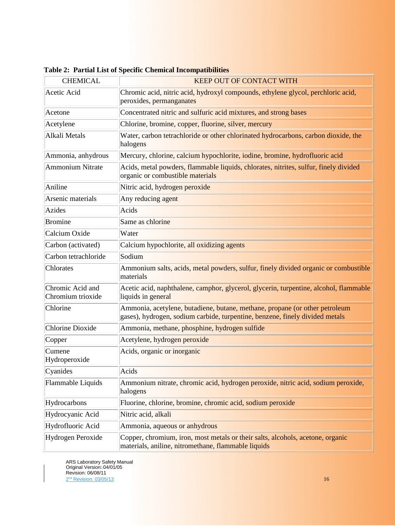| <b>CHEMICAL</b>                       | <b>KEEP OUT OF CONTACT WITH</b>                                                                                                                             |
|---------------------------------------|-------------------------------------------------------------------------------------------------------------------------------------------------------------|
| Acetic Acid                           | Chromic acid, nitric acid, hydroxyl compounds, ethylene glycol, perchloric acid,<br>peroxides, permanganates                                                |
| Acetone                               | Concentrated nitric and sulfuric acid mixtures, and strong bases                                                                                            |
| Acetylene                             | Chlorine, bromine, copper, fluorine, silver, mercury                                                                                                        |
| Alkali Metals                         | Water, carbon tetrachloride or other chlorinated hydrocarbons, carbon dioxide, the<br>halogens                                                              |
| Ammonia, anhydrous                    | Mercury, chlorine, calcium hypochlorite, iodine, bromine, hydrofluoric acid                                                                                 |
| <b>Ammonium Nitrate</b>               | Acids, metal powders, flammable liquids, chlorates, nitrites, sulfur, finely divided<br>organic or combustible materials                                    |
| Aniline                               | Nitric acid, hydrogen peroxide                                                                                                                              |
| Arsenic materials                     | Any reducing agent                                                                                                                                          |
| <b>Azides</b>                         | Acids                                                                                                                                                       |
| <b>Bromine</b>                        | Same as chlorine                                                                                                                                            |
| Calcium Oxide                         | Water                                                                                                                                                       |
| Carbon (activated)                    | Calcium hypochlorite, all oxidizing agents                                                                                                                  |
| Carbon tetrachloride                  | Sodium                                                                                                                                                      |
| Chlorates                             | Ammonium salts, acids, metal powders, sulfur, finely divided organic or combustible<br>materials                                                            |
| Chromic Acid and<br>Chromium trioxide | Acetic acid, naphthalene, camphor, glycerol, glycerin, turpentine, alcohol, flammable<br>liquids in general                                                 |
| Chlorine                              | Ammonia, acetylene, butadiene, butane, methane, propane (or other petroleum<br>gases), hydrogen, sodium carbide, turpentine, benzene, finely divided metals |
| <b>Chlorine Dioxide</b>               | Ammonia, methane, phosphine, hydrogen sulfide                                                                                                               |
| Copper                                | Acetylene, hydrogen peroxide                                                                                                                                |
| Cumene<br>Hydroperoxide               | Acids, organic or inorganic                                                                                                                                 |
| Cyanides                              | Acids                                                                                                                                                       |
| Flammable Liquids                     | Ammonium nitrate, chromic acid, hydrogen peroxide, nitric acid, sodium peroxide,<br>halogens                                                                |
| Hydrocarbons                          | Fluorine, chlorine, bromine, chromic acid, sodium peroxide                                                                                                  |
| Hydrocyanic Acid                      | Nitric acid, alkali                                                                                                                                         |
| Hydrofluoric Acid                     | Ammonia, aqueous or anhydrous                                                                                                                               |
| Hydrogen Peroxide                     | Copper, chromium, iron, most metals or their salts, alcohols, acetone, organic<br>materials, aniline, nitromethane, flammable liquids                       |

**Table 2: Partial List of Specific Chemical Incompatibilities**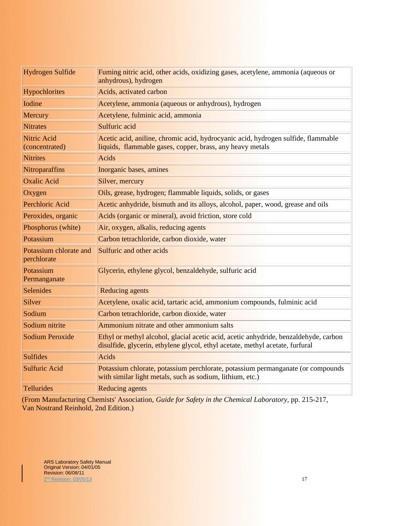| <b>Hydrogen Sulfide</b>               | Fuming nitric acid, other acids, oxidizing gases, acetylene, ammonia (aqueous or<br>anhydrous), hydrogen                                                              |
|---------------------------------------|-----------------------------------------------------------------------------------------------------------------------------------------------------------------------|
| <b>Hypochlorites</b>                  | Acids, activated carbon                                                                                                                                               |
| Iodine                                | Acetylene, ammonia (aqueous or anhydrous), hydrogen                                                                                                                   |
| Mercury                               | Acetylene, fulminic acid, ammonia                                                                                                                                     |
| <b>Nitrates</b>                       | Sulfuric acid                                                                                                                                                         |
| <b>Nitric Acid</b><br>(concentrated)  | Acetic acid, aniline, chromic acid, hydrocyanic acid, hydrogen sulfide, flammable<br>liquids, flammable gases, copper, brass, any heavy metals                        |
| <b>Nitrites</b>                       | <b>Acids</b>                                                                                                                                                          |
| <b>Nitroparaffins</b>                 | Inorganic bases, amines                                                                                                                                               |
| <b>Oxalic Acid</b>                    | Silver, mercury                                                                                                                                                       |
| Oxygen                                | Oils, grease, hydrogen; flammable liquids, solids, or gases                                                                                                           |
| Perchloric Acid                       | Acetic anhydride, bismuth and its alloys, alcohol, paper, wood, grease and oils                                                                                       |
| Peroxides, organic                    | Acids (organic or mineral), avoid friction, store cold                                                                                                                |
| Phosphorus (white)                    | Air, oxygen, alkalis, reducing agents                                                                                                                                 |
| Potassium                             | Carbon tetrachloride, carbon dioxide, water                                                                                                                           |
| Potassium chlorate and<br>perchlorate | Sulfuric and other acids                                                                                                                                              |
| Potassium<br>Permanganate             | Glycerin, ethylene glycol, benzaldehyde, sulfuric acid                                                                                                                |
| <b>Selenides</b>                      | <b>Reducing agents</b>                                                                                                                                                |
| <b>Silver</b>                         | Acetylene, oxalic acid, tartaric acid, ammonium compounds, fulminic acid                                                                                              |
| Sodium                                | Carbon tetrachloride, carbon dioxide, water                                                                                                                           |
| Sodium nitrite                        | Ammonium nitrate and other ammonium salts                                                                                                                             |
| <b>Sodium Peroxide</b>                | Ethyl or methyl alcohol, glacial acetic acid, acetic anhydride, benzaldehyde, carbon<br>disulfide, glycerin, ethylene glycol, ethyl acetate, methyl acetate, furfural |
| <b>Sulfides</b>                       | <b>Acids</b>                                                                                                                                                          |
| <b>Sulfuric Acid</b>                  | Potassium chlorate, potassium perchlorate, potassium permanganate (or compounds<br>with similar light metals, such as sodium, lithium, etc.)                          |
| <b>Tellurides</b>                     | Reducing agents                                                                                                                                                       |

(From Manufacturing Chemists' Association, *Guide for Safety in the Chemical Laboratory,* pp. 215-217, Van Nostrand Reinhold, 2nd Edition.)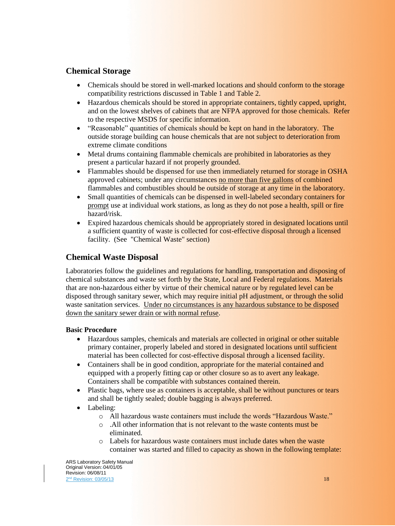## <span id="page-17-0"></span>**Chemical Storage**

- Chemicals should be stored in well-marked locations and should conform to the storage compatibility restrictions discussed in Table 1 and Table 2.
- Hazardous chemicals should be stored in appropriate containers, tightly capped, upright, and on the lowest shelves of cabinets that are NFPA approved for those chemicals. Refer to the respective MSDS for specific information.
- "Reasonable" quantities of chemicals should be kept on hand in the laboratory. The outside storage building can house chemicals that are not subject to deterioration from extreme climate conditions
- Metal drums containing flammable chemicals are prohibited in laboratories as they present a particular hazard if not properly grounded.
- Flammables should be dispensed for use then immediately returned for storage in OSHA approved cabinets; under any circumstances no more than five gallons of combined flammables and combustibles should be outside of storage at any time in the laboratory.
- Small quantities of chemicals can be dispensed in well-labeled secondary containers for prompt use at individual work stations, as long as they do not pose a health, spill or fire hazard/risk.
- Expired hazardous chemicals should be appropriately stored in designated locations until a sufficient quantity of waste is collected for cost-effective disposal through a licensed facility. (See "Chemical Waste" section)

## **Chemical Waste Disposal**

<span id="page-17-1"></span>Laboratories follow the guidelines and regulations for handling, transportation and disposing of chemical substances and waste set forth by the State, Local and Federal regulations. Materials that are non-hazardous either by virtue of their chemical nature or by regulated level can be disposed through sanitary sewer, which may require initial pH adjustment, or through the solid waste sanitation services. Under no circumstances is any hazardous substance to be disposed down the sanitary sewer drain or with normal refuse.

#### **Basic Procedure**

- Hazardous samples, chemicals and materials are collected in original or other suitable primary container, properly labeled and stored in designated locations until sufficient material has been collected for cost-effective disposal through a licensed facility.
- Containers shall be in good condition, appropriate for the material contained and equipped with a properly fitting cap or other closure so as to avert any leakage. Containers shall be compatible with substances contained therein.
- Plastic bags, where use as containers is acceptable, shall be without punctures or tears and shall be tightly sealed; double bagging is always preferred.
- Labeling:
	- o All hazardous waste containers must include the words "Hazardous Waste."
	- o .All other information that is not relevant to the waste contents must be eliminated.
	- o Labels for hazardous waste containers must include dates when the waste container was started and filled to capacity as shown in the following template: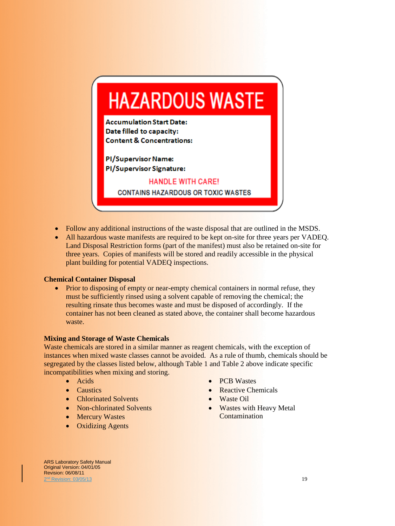

- Follow any additional instructions of the waste disposal that are outlined in the MSDS.
- All hazardous waste manifests are required to be kept on-site for three years per VADEQ. Land Disposal Restriction forms (part of the manifest) must also be retained on-site for three years. Copies of manifests will be stored and readily accessible in the physical plant building for potential VADEQ inspections.

#### **Chemical Container Disposal**

• Prior to disposing of empty or near-empty chemical containers in normal refuse, they must be sufficiently rinsed using a solvent capable of removing the chemical; the resulting rinsate thus becomes waste and must be disposed of accordingly. If the container has not been cleaned as stated above, the container shall become hazardous waste.

#### **Mixing and Storage of Waste Chemicals**

Waste chemicals are stored in a similar manner as reagent chemicals, with the exception of instances when mixed waste classes cannot be avoided. As a rule of thumb, chemicals should be segregated by the classes listed below, although Table 1 and Table 2 above indicate specific incompatibilities when mixing and storing.

- Acids
- Caustics
- Chlorinated Solvents
- Non-chlorinated Solvents
- Mercury Wastes
- Oxidizing Agents
- PCB Wastes
- Reactive Chemicals
- Waste Oil
- Wastes with Heavy Metal **Contamination**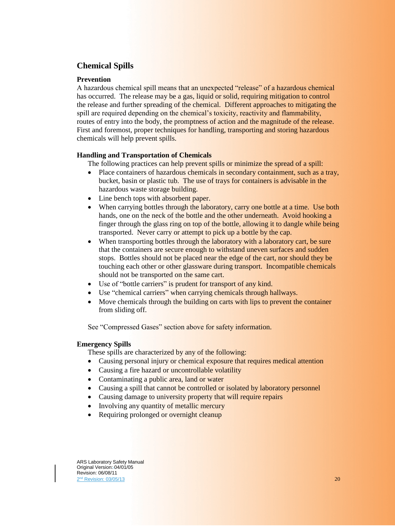## **Chemical Spills**

#### **Prevention**

<span id="page-19-0"></span>A hazardous chemical spill means that an unexpected "release" of a hazardous chemical has occurred. The release may be a gas, liquid or solid, requiring mitigation to control the release and further spreading of the chemical. Different approaches to mitigating the spill are required depending on the chemical's toxicity, reactivity and flammability, routes of entry into the body, the promptness of action and the magnitude of the release. First and foremost, proper techniques for handling, transporting and storing hazardous chemicals will help prevent spills.

#### **Handling and Transportation of Chemicals**

The following practices can help prevent spills or minimize the spread of a spill:

- Place containers of hazardous chemicals in secondary containment, such as a tray, bucket, basin or plastic tub. The use of trays for containers is advisable in the hazardous waste storage building.
- Line bench tops with absorbent paper.
- When carrying bottles through the laboratory, carry one bottle at a time. Use both hands, one on the neck of the bottle and the other underneath. Avoid hooking a finger through the glass ring on top of the bottle, allowing it to dangle while being transported. Never carry or attempt to pick up a bottle by the cap.
- When transporting bottles through the laboratory with a laboratory cart, be sure that the containers are secure enough to withstand uneven surfaces and sudden stops. Bottles should not be placed near the edge of the cart, nor should they be touching each other or other glassware during transport. Incompatible chemicals should not be transported on the same cart.
- Use of "bottle carriers" is prudent for transport of any kind.
- Use "chemical carriers" when carrying chemicals through hallways.
- Move chemicals through the building on carts with lips to prevent the container from sliding off.

See "Compressed Gases" section above for safety information.

#### **Emergency Spills**

These spills are characterized by any of the following:

- Causing personal injury or chemical exposure that requires medical attention
- Causing a fire hazard or uncontrollable volatility
- Contaminating a public area, land or water
- Causing a spill that cannot be controlled or isolated by laboratory personnel
- Causing damage to university property that will require repairs
- Involving any quantity of metallic mercury
- Requiring prolonged or overnight cleanup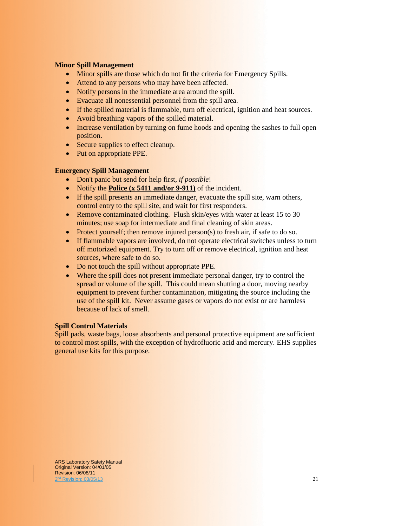#### **Minor Spill Management**

- Minor spills are those which do not fit the criteria for Emergency Spills.
- Attend to any persons who may have been affected.
- Notify persons in the immediate area around the spill.
- Evacuate all nonessential personnel from the spill area.
- If the spilled material is flammable, turn off electrical, ignition and heat sources.
- Avoid breathing vapors of the spilled material.
- Increase ventilation by turning on fume hoods and opening the sashes to full open position.
- Secure supplies to effect cleanup.
- Put on appropriate PPE.

## **Emergency Spill Management**

- Don't panic but send for help first, *if possible*!
- Notify the **Police (x 5411 and/or 9-911)** of the incident.
- If the spill presents an immediate danger, evacuate the spill site, warn others, control entry to the spill site, and wait for first responders.
- Remove contaminated clothing. Flush skin/eyes with water at least 15 to 30 minutes; use soap for intermediate and final cleaning of skin areas.
- Protect yourself; then remove injured person(s) to fresh air, if safe to do so.
- If flammable vapors are involved, do not operate electrical switches unless to turn off motorized equipment. Try to turn off or remove electrical, ignition and heat sources, where safe to do so.
- Do not touch the spill without appropriate PPE.
- Where the spill does not present immediate personal danger, try to control the spread or volume of the spill. This could mean shutting a door, moving nearby equipment to prevent further contamination, mitigating the source including the use of the spill kit. Never assume gases or vapors do not exist or are harmless because of lack of smell.

#### **Spill Control Materials**

Spill pads, waste bags, loose absorbents and personal protective equipment are sufficient to control most spills, with the exception of hydrofluoric acid and mercury. EHS supplies general use kits for this purpose.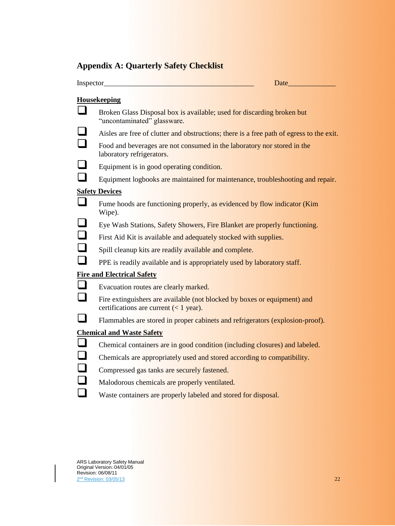# **Appendix A: Quarterly Safety Checklist**

<span id="page-21-0"></span>

| Inspector_ | Date                                                                                                                 |
|------------|----------------------------------------------------------------------------------------------------------------------|
|            | <b>Housekeeping</b>                                                                                                  |
|            | Broken Glass Disposal box is available; used for discarding broken but<br>"uncontaminated" glassware.                |
|            | Aisles are free of clutter and obstructions; there is a free path of egress to the exit.                             |
|            | Food and beverages are not consumed in the laboratory nor stored in the<br>laboratory refrigerators.                 |
| $\Box$     | Equipment is in good operating condition.                                                                            |
|            | Equipment logbooks are maintained for maintenance, troubleshooting and repair.                                       |
|            | <b>Safety Devices</b>                                                                                                |
| I          | Fume hoods are functioning properly, as evidenced by flow indicator (Kim<br>Wipe).                                   |
| $\Box$     | Eye Wash Stations, Safety Showers, Fire Blanket are properly functioning.                                            |
| $\Box$     | First Aid Kit is available and adequately stocked with supplies.                                                     |
| $\Box$     | Spill cleanup kits are readily available and complete.                                                               |
| $\Box$     | PPE is readily available and is appropriately used by laboratory staff.                                              |
|            | <b>Fire and Electrical Safety</b>                                                                                    |
|            | Evacuation routes are clearly marked.                                                                                |
|            | Fire extinguishers are available (not blocked by boxes or equipment) and<br>certifications are current $(< 1$ year). |
|            | Flammables are stored in proper cabinets and refrigerators (explosion-proof).                                        |
|            | <b>Chemical and Waste Safety</b>                                                                                     |
|            | Chemical containers are in good condition (including closures) and labeled.                                          |
|            | Chemicals are appropriately used and stored according to compatibility.                                              |
|            | Compressed gas tanks are securely fastened.                                                                          |
|            | Malodorous chemicals are properly ventilated.                                                                        |
|            | Waste containers are properly labeled and stored for disposal.                                                       |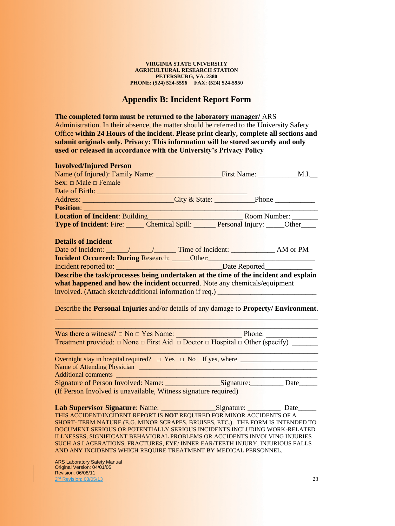#### **VIRGINIA STATE UNIVERSITY AGRICULTURAL RESEARCH STATION PETERSBURG, VA. 2380 PHONE: (524) 524-5596 FAX: (524) 524-5950**

## **Appendix B: Incident Report Form**

<span id="page-22-0"></span>**The completed form must be returned to the laboratory manager/** ARS Administration. In their absence, the matter should be referred to the University Safety Office **within 24 Hours of the incident. Please print clearly, complete all sections and submit originals only. Privacy: This information will be stored securely and only used or released in accordance with the University's Privacy Policy** 

| <b>Involved/Injured Person</b>                                                                                                                                 |                                                                         |  |
|----------------------------------------------------------------------------------------------------------------------------------------------------------------|-------------------------------------------------------------------------|--|
|                                                                                                                                                                |                                                                         |  |
| Sex: $\Box$ Male $\Box$ Female                                                                                                                                 |                                                                         |  |
| Date of Birth: 2008                                                                                                                                            |                                                                         |  |
|                                                                                                                                                                |                                                                         |  |
| Position:<br><u> The Risk Hotel A</u>                                                                                                                          |                                                                         |  |
| <b>Location of Incident:</b> Building<br><b>Type of Incident:</b> Fire: Chemical Spill: Personal Injury: Cher                                                  |                                                                         |  |
|                                                                                                                                                                |                                                                         |  |
| <b>Details of Incident</b>                                                                                                                                     |                                                                         |  |
|                                                                                                                                                                |                                                                         |  |
| Incident Occurred: During Research: Cher: Cher: Cher.                                                                                                          |                                                                         |  |
|                                                                                                                                                                |                                                                         |  |
| what happened and how the incident occurred. Note any chemicals/equipment<br>involved. (Attach sketch/additional information if req.) ________________________ |                                                                         |  |
| Describe the Personal Injuries and/or details of any damage to Property/ Environment.                                                                          |                                                                         |  |
| Was there a witness? $\square$ No $\square$ Yes Name: Phone: Phone:                                                                                            |                                                                         |  |
| Treatment provided: $\Box$ None $\Box$ First Aid $\Box$ Doctor $\Box$ Hospital $\Box$ Other (specify)                                                          |                                                                         |  |
| Name of Attending Physician <b>contract the Contract of Attending Physician</b>                                                                                |                                                                         |  |
| Signature of Person Involved: Name: Signature: Signature: Date                                                                                                 | <u> 1994 - Johann John Harry, mars and deutscher Amerikaanse kommen</u> |  |
| (If Person Involved is unavailable, Witness signature required)                                                                                                |                                                                         |  |
| Lab Supervisor Signature: Name: Signature: Signature: Date                                                                                                     |                                                                         |  |
| THIS ACCIDENT/INCIDENT REPORT IS NOT REQUIRED FOR MINOR ACCIDENTS OF A                                                                                         |                                                                         |  |
| SHORT, TERM NATURE (E.G. MINOR SCRAPES, BRUISES, ETC.) THE FORM IS INTENDED TO                                                                                 |                                                                         |  |

SHORT- TERM NATURE (E.G. MINOR SCRAPES, BRUISES, ETC.). THE FORM IS INTENDED TO DOCUMENT SERIOUS OR POTENTIALLY SERIOUS INCIDENTS INCLUDING WORK-RELATED ILLNESSES, SIGNIFICANT BEHAVIORAL PROBLEMS OR ACCIDENTS INVOLVING INJURIES SUCH AS LACERATIONS, FRACTURES, EYE/ INNER EAR/TEETH INJURY, INJURIOUS FALLS AND ANY INCIDENTS WHICH REQUIRE TREATMENT BY MEDICAL PERSONNEL.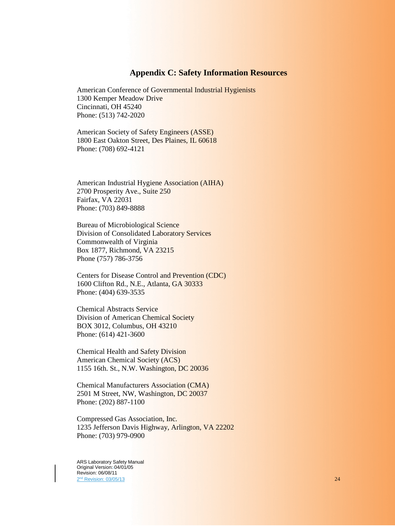#### **Appendix C: Safety Information Resources**

<span id="page-23-0"></span>American Conference of Governmental Industrial Hygienists 1300 Kemper Meadow Drive Cincinnati, OH 45240 Phone: (513) 742-2020

American Society of Safety Engineers (ASSE) 1800 East Oakton Street, Des Plaines, IL 60618 Phone: (708) 692-4121

American Industrial Hygiene Association (AIHA) 2700 Prosperity Ave., Suite 250 Fairfax, VA 22031 Phone: (703) 849-8888

Bureau of Microbiological Science Division of Consolidated Laboratory Services Commonwealth of Virginia Box 1877, Richmond, VA 23215 Phone (757) 786-3756

Centers for Disease Control and Prevention (CDC) 1600 Clifton Rd., N.E., Atlanta, GA 30333 Phone: (404) 639-3535

Chemical Abstracts Service Division of American Chemical Society BOX 3012, Columbus, OH 43210 Phone: (614) 421-3600

Chemical Health and Safety Division American Chemical Society (ACS) 1155 16th. St., N.W. Washington, DC 20036

Chemical Manufacturers Association (CMA) 2501 M Street, NW, Washington, DC 20037 Phone: (202) 887-1100

Compressed Gas Association, Inc. 1235 Jefferson Davis Highway, Arlington, VA 22202 Phone: (703) 979-0900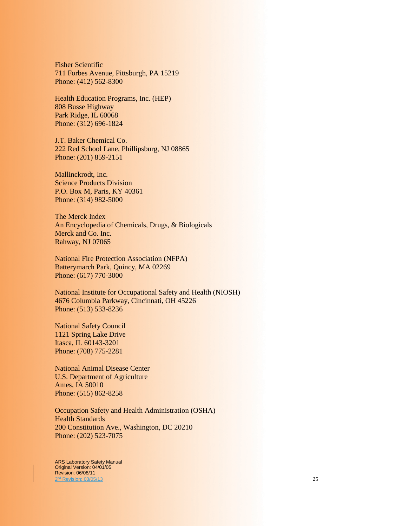Fisher Scientific 711 Forbes Avenue, Pittsburgh, PA 15219 Phone: (412) 562-8300

Health Education Programs, Inc. (HEP) 808 Busse Highway Park Ridge, IL 60068 Phone: (312) 696-1824

J.T. Baker Chemical Co. 222 Red School Lane, Phillipsburg, NJ 08865 Phone: (201) 859-2151

Mallinckrodt, Inc. Science Products Division P.O. Box M, Paris, KY 40361 Phone: (314) 982-5000

The Merck Index An Encyclopedia of Chemicals, Drugs, & Biologicals Merck and Co. Inc. Rahway, NJ 07065

National Fire Protection Association (NFPA) Batterymarch Park, Quincy, MA 02269 Phone: (617) 770-3000

National Institute for Occupational Safety and Health (NIOSH) 4676 Columbia Parkway, Cincinnati, OH 45226 Phone: (513) 533-8236

National Safety Council 1121 Spring Lake Drive Itasca, IL 60143-3201 Phone: (708) 775-2281

National Animal Disease Center U.S. Department of Agriculture Ames, IA 50010 Phone: (515) 862-8258

Occupation Safety and Health Administration (OSHA) Health Standards 200 Constitution Ave., Washington, DC 20210 Phone: (202) 523-7075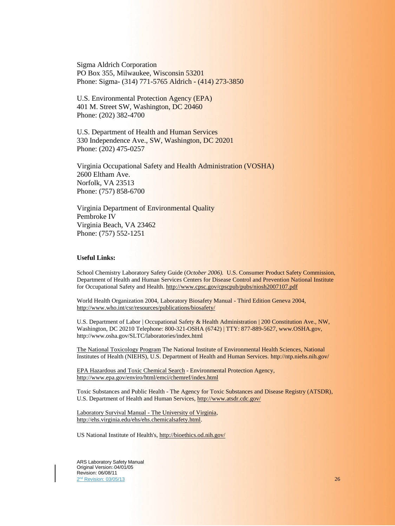Sigma Aldrich Corporation PO Box 355, Milwaukee, Wisconsin 53201 Phone: Sigma- (314) 771-5765 Aldrich - (414) 273-3850

U.S. Environmental Protection Agency (EPA) 401 M. Street SW, Washington, DC 20460 Phone: (202) 382-4700

U.S. Department of Health and Human Services 330 Independence Ave., SW, Washington, DC 20201 Phone: (202) 475-0257

Virginia Occupational Safety and Health Administration (VOSHA) 2600 Eltham Ave. Norfolk, VA 23513 Phone: (757) 858-6700

Virginia Department of Environmental Quality Pembroke IV Virginia Beach, VA 23462 Phone: (757) 552-1251

#### **Useful Links:**

School Chemistry Laboratory Safety Guide (*October 2006).* U.S. Consumer Product Safety Commission, Department of Health and Human Services Centers for Disease Control and Prevention National Institute for Occupational Safety and Health.<http://www.cpsc.gov/cpscpub/pubs/niosh2007107.pdf>

World Health Organization 2004, Laboratory Biosafety Manual - Third Edition Geneva 2004, <http://www.who.int/csr/resources/publications/biosafety/>

U.S. Department of Labor | Occupational Safety & Health Administration | 200 Constitution Ave., NW, Washington, DC 20210 Telephone: 800-321-OSHA (6742) | TTY: 877-889-5627, [www.OSHA.gov,](http://www.osha.gov/) http://www.osha.gov/SLTC/laboratories/index.html

[The National Toxicology Program](http://ntp-server.niehs.nih.gov/) The National Institute of Environmental Health Sciences, National Institutes of Health (NIEHS), U.S. Department of Health and Human Services. http://ntp.niehs.nih.gov/

[EPA Hazardous and Toxic Chemical Search](http://www.epa.gov/enviro/html/emci/chemref/index.html) - Environmental Protection Agency, <http://www.epa.gov/enviro/html/emci/chemref/index.html>

[Toxic Substances and Public Health](http://www.atsdr.cdc.gov/atsdrhome.html) - The Agency for Toxic Substances and Disease Registry (ATSDR), U.S. Department of Health and Human Services,<http://www.atsdr.cdc.gov/>

[Laboratory Survival Manual -](http://ehs.virginia.edu/ehs/ehs.chemicalsafety.html) The University of Virginia, [http://ehs.virginia.edu/ehs/ehs.chemicalsafety.html.](http://ehs.virginia.edu/ehs/ehs.chemicalsafety.html) 

US National Institute of Health's,<http://bioethics.od.nih.gov/>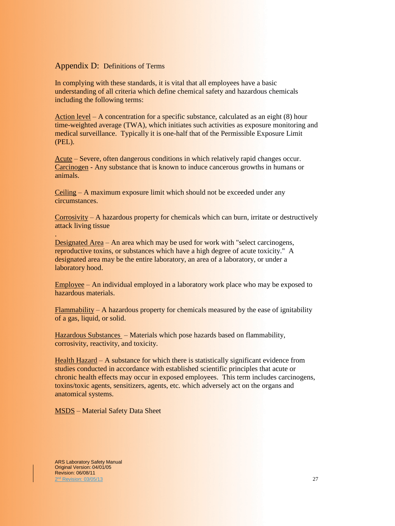#### Appendix D: Definitions of Terms

<span id="page-26-0"></span>In complying with these standards, it is vital that all employees have a basic understanding of all criteria which define chemical safety and hazardous chemicals including the following terms:

Action level – A concentration for a specific substance, calculated as an eight (8) hour time-weighted average (TWA), which initiates such activities as exposure monitoring and medical surveillance. Typically it is one-half that of the Permissible Exposure Limit (PEL).

Acute – Severe, often dangerous conditions in which relatively rapid changes occur. Carcinogen - Any substance that is known to induce cancerous growths in humans or animals.

Ceiling – A maximum exposure limit which should not be exceeded under any circumstances.

Corrosivity – A hazardous property for chemicals which can burn, irritate or destructively attack living tissue

Designated Area – An area which may be used for work with "select carcinogens, reproductive toxins, or substances which have a high degree of acute toxicity." A designated area may be the entire laboratory, an area of a laboratory, or under a laboratory hood.

Employee – An individual employed in a laboratory work place who may be exposed to hazardous materials.

 $F$ lammability – A hazardous property for chemicals measured by the ease of ignitability of a gas, liquid, or solid.

Hazardous Substances – Materials which pose hazards based on flammability, corrosivity, reactivity, and toxicity.

Health Hazard  $- A$  substance for which there is statistically significant evidence from studies conducted in accordance with established scientific principles that acute or chronic health effects may occur in exposed employees. This term includes carcinogens, toxins/toxic agents, sensitizers, agents, etc. which adversely act on the organs and anatomical systems.

MSDS – Material Safety Data Sheet

.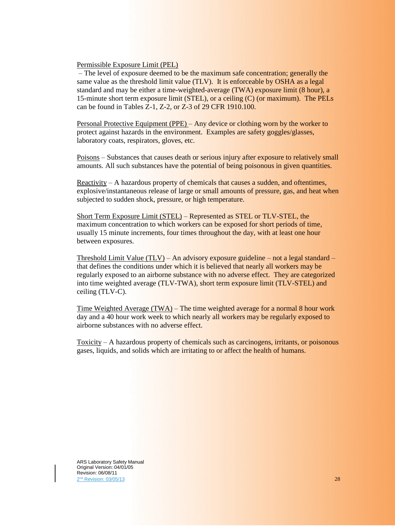#### Permissible Exposure Limit (PEL)

– The level of exposure deemed to be the maximum safe concentration; generally the same value as the threshold limit value (TLV). It is enforceable by OSHA as a legal standard and may be either a time-weighted-average (TWA) exposure limit (8 hour), a 15-minute short term exposure limit (STEL), or a ceiling (C) (or maximum). The PELs can be found in Tables Z-1, Z-2, or Z-3 of 29 CFR 1910.100.

Personal Protective Equipment (PPE) – Any device or clothing worn by the worker to protect against hazards in the environment. Examples are safety goggles/glasses, laboratory coats, respirators, gloves, etc.

Poisons – Substances that causes death or serious injury after exposure to relatively small amounts. All such substances have the potential of being poisonous in given quantities.

Reactivity – A hazardous property of chemicals that causes a sudden, and oftentimes, explosive/instantaneous release of large or small amounts of pressure, gas, and heat when subjected to sudden shock, pressure, or high temperature.

Short Term Exposure Limit (STEL) – Represented as STEL or TLV-STEL, the maximum concentration to which workers can be exposed for short periods of time, usually 15 minute increments, four times throughout the day, with at least one hour between exposures.

Threshold Limit Value (TLV) – An advisory exposure guideline – not a legal standard – that defines the conditions under which it is believed that nearly all workers may be regularly exposed to an airborne substance with no adverse effect. They are categorized into time weighted average (TLV-TWA), short term exposure limit (TLV-STEL) and ceiling (TLV-C).

Time Weighted Average (TWA) – The time weighted average for a normal 8 hour work day and a 40 hour work week to which nearly all workers may be regularly exposed to airborne substances with no adverse effect.

Toxicity – A hazardous property of chemicals such as carcinogens, irritants, or poisonous gases, liquids, and solids which are irritating to or affect the health of humans.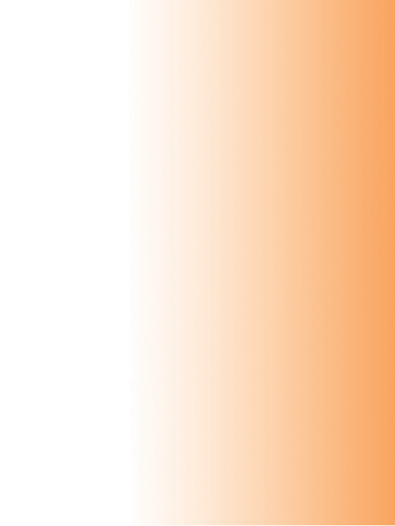